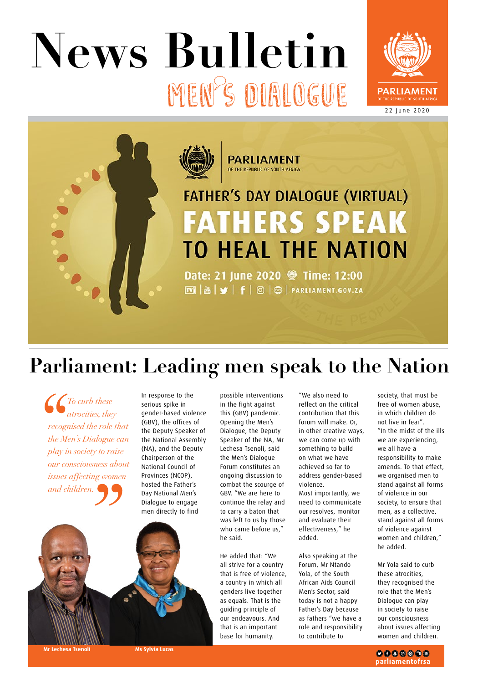# MEN S DIALOGUE **News Bulletin**





# **Parliament: Leading men speak to the Nation**

*To curb these atrocities, they recognised the role that the Men's Dialogue can play in society to raise our consciousness about issues affecting women and children.* 

In response to the serious spike in gender-based violence (GBV), the offices of the Deputy Speaker of the National Assembly (NA), and the Deputy Chairperson of the National Council of Provinces (NCOP), hosted the Father's Day National Men's Dialogue to engage men directly to find



possible interventions in the fight against this (GBV) pandemic. Opening the Men's Dialogue, the Deputy Speaker of the NA, Mr Lechesa Tsenoli, said the Men's Dialogue Forum constitutes an ongoing discussion to combat the scourge of GBV. "We are here to continue the relay and to carry a baton that was left to us by those who came before us," he said.

He added that: "We all strive for a country that is free of violence, a country in which all genders live together as equals. That is the guiding principle of our endeavours. And that is an important base for humanity.

"We also need to reflect on the critical contribution that this forum will make. Or, in other creative ways, we can come up with something to build on what we have achieved so far to address gender-based violence. Most importantly, we need to communicate our resolves, monitor and evaluate their effectiveness," he added.

Also speaking at the Forum, Mr Ntando Yola, of the South African Aids Council Men's Sector, said today is not a happy Father's Day because as fathers "we have a role and responsibility to contribute to

society, that must be free of women abuse, in which children do not live in fear". "In the midst of the ills we are experiencing, we all have a responsibility to make amends. To that effect, we organised men to stand against all forms of violence in our society, to ensure that men, as a collective, stand against all forms of violence against women and children," he added.

Mr Yola said to curb these atrocities, they recognised the role that the Men's Dialogue can play in society to raise our consciousness about issues affecting women and children.

**Ms Sylvia Lucas** 

 $0000000$ parliamentofrsa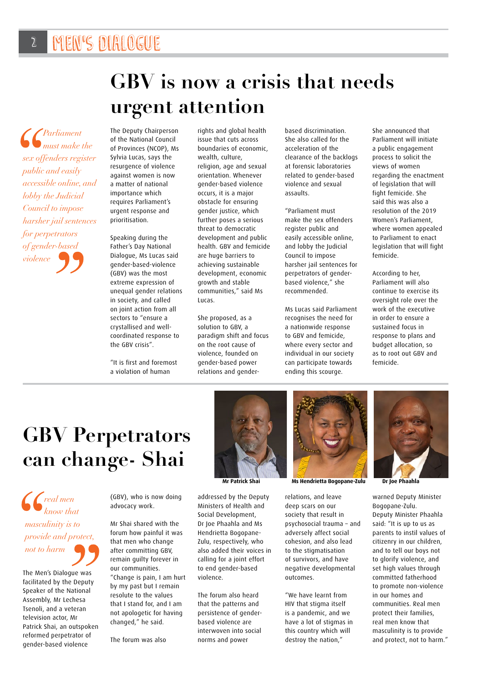# **GBV is now a crisis that needs urgent attention**

*Parliament must make the sex offenders register public and easily accessible online, and lobby the Judicial Council to impose harsher jail sentences for perpetrators of gender-based violence*

The Deputy Chairperson of the National Council of Provinces (NCOP), Ms Sylvia Lucas, says the resurgence of violence against women is now a matter of national importance which requires Parliament's urgent response and prioritisation.

Speaking during the Father's Day National Dialogue, Ms Lucas said gender-based-violence (GBV) was the most extreme expression of unequal gender relations in society, and called on joint action from all sectors to "ensure a crystallised and wellcoordinated response to the GBV crisis".

"It is first and foremost a violation of human

rights and global health issue that cuts across boundaries of economic, wealth, culture, religion, age and sexual orientation. Whenever gender-based violence occurs, it is a major obstacle for ensuring gender justice, which further poses a serious threat to democratic development and public health. GBV and femicide are huge barriers to achieving sustainable development, economic growth and stable communities," said Ms Lucas.

She proposed, as a solution to GBV, a paradigm shift and focus on the root cause of violence, founded on gender-based power relations and genderbased discrimination. She also called for the acceleration of the clearance of the backlogs at forensic laboratories related to gender-based violence and sexual assaults.

"Parliament must make the sex offenders register public and easily accessible online, and lobby the Judicial Council to impose harsher jail sentences for perpetrators of genderbased violence," she recommended.

Ms Lucas said Parliament recognises the need for a nationwide response to GBV and femicide, where every sector and individual in our society can participate towards ending this scourge.

She announced that Parliament will initiate a public engagement process to solicit the views of women regarding the enactment of legislation that will fight femicide. She said this was also a resolution of the 2019 Women's Parliament, where women appealed to Parliament to enact legislation that will fight femicide.

According to her, Parliament will also continue to exercise its oversight role over the work of the executive in order to ensure a sustained focus in response to plans and budget allocation, so as to root out GBV and femicide.

# **GBV Perpetrators can change- Shai**

*real men know that masculinity is to provide and protect, not to harm*

The Men's Dialogue was facilitated by the Deputy Speaker of the National Assembly, Mr Lechesa Tsenoli, and a veteran television actor, Mr Patrick Shai, an outspoken reformed perpetrator of gender-based violence

(GBV), who is now doing advocacy work.

Mr Shai shared with the forum how painful it was that men who change after committing GBV, remain guilty forever in our communities. "Change is pain, I am hurt by my past but I remain resolute to the values that I stand for, and I am not apologetic for having changed," he said.

The forum was also



addressed by the Deputy Ministers of Health and Social Development, Dr Joe Phaahla and Ms Hendrietta Bogopane-Zulu, respectively, who also added their voices in calling for a joint effort to end gender-based violence.

The forum also heard that the patterns and persistence of genderbased violence are interwoven into social norms and power



**Mr Patrick Shai Ms Hendrietta Bogopane-Zulu Dr Joe Phaahla**

relations, and leave deep scars on our society that result in psychosocial trauma – and adversely affect social cohesion, and also lead to the stigmatisation of survivors, and have negative developmental outcomes.

"We have learnt from HIV that stigma itself is a pandemic, and we have a lot of stigmas in this country which will destroy the nation,"



warned Deputy Minister Bogopane-Zulu. Deputy Minister Phaahla said: "It is up to us as parents to instil values of citizenry in our children, and to tell our boys not to glorify violence, and set high values through committed fatherhood to promote non-violence in our homes and communities. Real men protect their families, real men know that masculinity is to provide and protect, not to harm."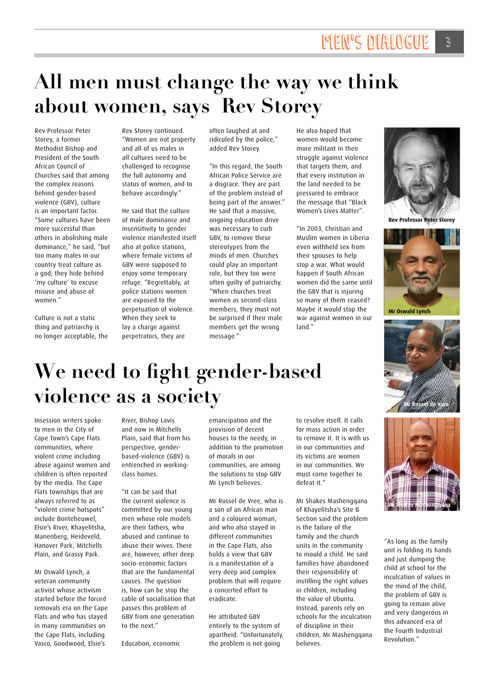# **All men must change the way we think about women, says Rev Storey**

Rev Professor Peter Storey, a former Methodist Bishop and President of the South African Council of Churches said that among the complex reasons behind gender-based violence (GBV), culture is an important factor. "Some cultures have been more successful than others in abolishing male dominance," he said, "but too many males in our country treat culture as a god; they hide behind 'my culture' to excuse misuse and abuse of women."

Culture is not a static thing and patriarchy is no longer acceptable, the

Rev Storey continued. "Women are not property and all of us males in all cultures need to be challenged to recognise the full autonomy and status of women, and to behave accordingly."

He said that the culture of male dominance and insensitivity to gender violence manifested itself also at police stations, where female victims of GBV were supposed to enjoy some temporary refuge. "Regrettably, at police stations women are exposed to the perpetuation of violence. When they seek to lay a charge against perpetrators, they are

often laughed at and ridiculed by the police," added Rev Storey.

"In this regard, the South African Police Service are a disgrace. They are part of the problem instead of being part of the answer." He said that a massive, ongoing education drive was necessary to curb GBV, to remove these stereotypes from the minds of men. Churches could play an important role, but they too were often guilty of patriarchy. "When churches treat women as second-class members, they must not be surprised if their male members get the wrong message."

He also hoped that women would become more militant in their struggle against violence that targets them, and that every institution in the land needed to be pressured to embrace the message that "Black Women's Lives Matter".

"In 2003, Christian and Muslim women in Liberia even withheld sex from their spouses to help stop a war. What would happen if South African women did the same until the GBV that is injuring so many of them ceased? Maybe it would stop the war against women in our land."



**Rev Professor Peter Storey**



**Mr Oswald Lynch**



# **We need to fight gender-based violence as a society**

Insession writers spoke to men in the City of Cape Town's Cape Flats communities, where violent crime including abuse against women and children is often reported by the media. The Cape Flats townships that are always referred to as "violent crime hotspots" include Bonteheuwel, Elsie's River, Khayelitsha, Manenberg, Heideveld, Hanover Park, Mitchells Plain, and Grassy Park.

Mr Oswald Lynch, a veteran community activist whose activism started before the forced removals era on the Cape Flats and who has stayed in many communities on the Cape Flats, including Vasco, Goodwood, Elsie's

River, Bishop Lavis and now in Mitchells Plain, said that from his perspective, genderbased-violence (GBV) is entrenched in workingclass homes.

"It can be said that the current violence is committed by our young men whose role models are their fathers, who abused and continue to abuse their wives. There are, however, other deep socio-economic factors that are the fundamental causes. The question is, how can be stop the cable of socialisation that passes this problem of GBV from one generation to the next."

Education, economic

emancipation and the provision of decent houses to the needy, in addition to the promotion of morals in our communities, are among the solutions to stop GBV Mr Lynch believes.

Mr Russel de Vree, who is a son of an African man and a coloured woman, and who also stayed in different communities in the Cape Flats, also holds a view that GBV is a manifestation of a very deep and complex problem that will require a concerted effort to eradicate.

He attributed GBV entirely to the system of apartheid. "Unfortunately, the problem is not going

to resolve itself. It calls for mass action in order to remove it. It is with us in our communities and its victims are women in our communities. We must come together to defeat it."

Mr Shakes Mashengqana of Khayelitsha's Site B Section said the problem is the failure of the family and the church units in the community to mould a child. He said families have abandoned their responsibility of instilling the right values in children, including the value of Ubuntu. Instead, parents rely on schools for the inculcation of discipline in their children, Mr Mashengqana believes.



"As long as the family unit is folding its hands and just dumping the child at school for the inculcation of values in the mind of the child, the problem of GBV is going to remain alive and very dangerous in this advanced era of the Fourth Industrial Revolution."